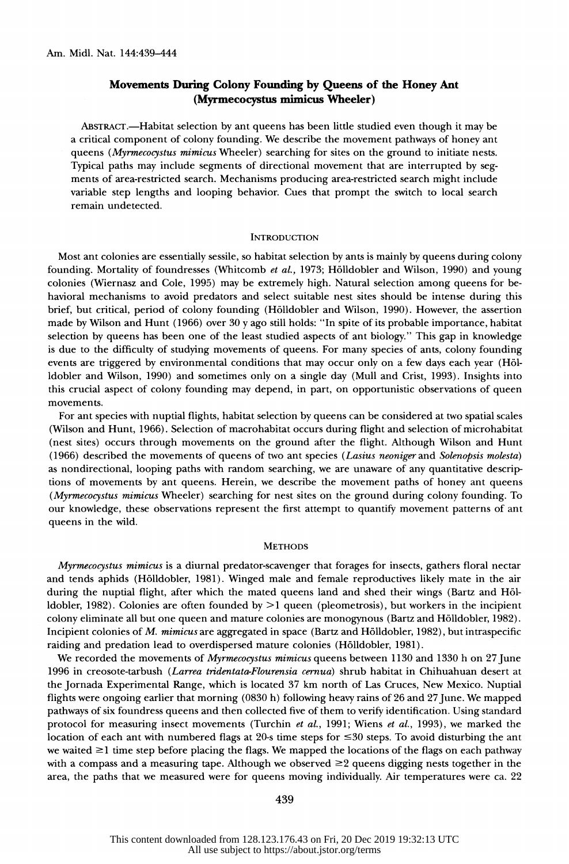# Movements During Colony Founding by Queens of the Honey Ant (Myrmecocystus mimicus Wheeler)

ABSTRACT.—Habitat selection by ant queens has been little studied even though it may be a critical component of colony founding. We describe the movement pathways of honey ant queens (Myrmecocystus mimicus Wheeler) searching for sites on the ground to initiate nests. Typical paths may include segments of directional movement that are interrupted by seg ments of area-restricted search. Mechanisms producing area-restricted search might include variable step lengths and looping behavior. Cues that prompt the switch to local search remain undetected.

#### **INTRODUCTION**

 Most ant colonies are essentially sessile, so habitat selection by ants is mainly by queens during colony founding. Mortality of foundresses (Whitcomb et al., 1973; Hölldobler and Wilson, 1990) and young colonies (Wiernasz and Cole, 1995) may be extremely high. Natural selection among queens for be havioral mechanisms to avoid predators and select suitable nest sites should be intense during this brief, but critical, period of colony founding (H6lldobler and Wilson, 1990). However, the assertion made by Wilson and Hunt (1966) over 30 y ago still holds: "In spite of its probable importance, habitat selection by queens has been one of the least studied aspects of ant biology." This gap in knowledge is due to the difficulty of studying movements of queens. For many species of ants, colony founding events are triggered by environmental conditions that may occur only on a few days each year (H61 ldobler and Wilson, 1990) and sometimes only on a single day (Mull and Crist, 1993). Insights into this crucial aspect of colony founding may depend, in part, on opportunistic observations of queen movements.

 For ant species with nuptial flights, habitat selection by queens can be considered at two spatial scales (Wilson and Hunt, 1966). Selection of macrohabitat occurs during flight and selection of microhabitat (nest sites) occurs through movements on the ground after the flight. Although Wilson and Hunt (1966) described the movements of queens of two ant species (Lasius neoniger and Solenopsis molesta) as nondirectional, looping paths with random searching, we are unaware of any quantitative descrip tions of movements by ant queens. Herein, we describe the movement paths of honey ant queens (Myrmecocystus mimicus Wheeler) searching for nest sites on the ground during colony founding. To our knowledge, these observations represent the first attempt to quantify movement patterns of ant queens in the wild.

### **METHODS**

 Myrmecocystus mimicus is a diurnal predator-scavenger that forages for insects, gathers floral nectar and tends aphids (H6lldobler, 1981). Winged male and female reproductives likely mate in the air during the nuptial flight, after which the mated queens land and shed their wings (Bartz and H61 ldobler, 1982). Colonies are often founded by >1 queen (pleometrosis), but workers in the incipient colony eliminate all but one queen and mature colonies are monogynous (Bartz and Holldobler, 1982). Incipient colonies of M. mimicus are aggregated in space (Bartz and Holldobler, 1982), but intraspecific raiding and predation lead to overdispersed mature colonies (Holldobler, 1981).

We recorded the movements of Myrmecocystus mimicus queens between 1130 and 1330 h on 27 June 1996 in creosote-tarbush (Larrea tridentata-Flourensia cernua) shrub habitat in Chihuahuan desert at the Jornada Experimental Range, which is located 37 km north of Las Cruces, New Mexico. Nuptial flights were ongoing earlier that morning (0830 h) following heavy rains of 26 and 27 June. We mapped pathways of six foundress queens and then collected five of them to verify identification. Using standard protocol for measuring insect movements (Turchin et al., 1991; Wiens et al., 1993), we marked the location of each ant with numbered flags at 20-s time steps for  $\leq 30$  steps. To avoid disturbing the ant we waited  $\geq$ 1 time step before placing the flags. We mapped the locations of the flags on each pathway with a compass and a measuring tape. Although we observed  $\geq 2$  queens digging nests together in the area, the paths that we measured were for queens moving individually. Air temperatures were ca. 22

#### 439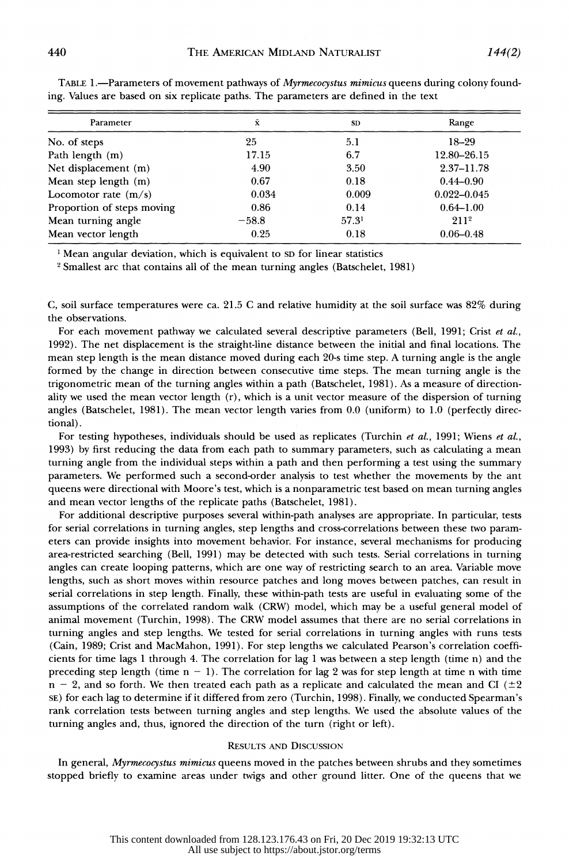| Parameter                  | Ā       | <b>SD</b>         | Range            |
|----------------------------|---------|-------------------|------------------|
| No. of steps               | 25      | 5.1               | $18 - 29$        |
| Path length (m)            | 17.15   | 6.7               | 12.80-26.15      |
| Net displacement (m)       | 4.90    | 3.50              | $2.37 - 11.78$   |
| Mean step length (m)       | 0.67    | 0.18              | $0.44 - 0.90$    |
| Locomotor rate $(m/s)$     | 0.034   | 0.009             | $0.022 - 0.045$  |
| Proportion of steps moving | 0.86    | 0.14              | $0.64 - 1.00$    |
| Mean turning angle         | $-58.8$ | 57.3 <sup>1</sup> | 211 <sup>2</sup> |
| Mean vector length         | 0.25    | 0.18              | $0.06 - 0.48$    |

TABLE 1.—Parameters of movement pathways of *Myrmecocystus mimicus* queens during colony founding. Values are based on six replicate paths. The parameters are defined in the text

<sup>1</sup> Mean angular deviation, which is equivalent to SD for linear statistics

2 Smallest arc that contains all of the mean turning angles (Batschelet, 1981)

 C, soil surface temperatures were ca. 21.5 C and relative humidity at the soil surface was 82% during the observations.

For each movement pathway we calculated several descriptive parameters (Bell, 1991; Crist et al., 1992). The net displacement is the straight-line distance between the initial and final locations. The mean step length is the mean distance moved during each 20-s time step. A turning angle is the angle formed by the change in direction between consecutive time steps. The mean turning angle is the trigonometric mean of the turning angles within a path (Batschelet, 1981). As a measure of direction ality we used the mean vector length (r), which is a unit vector measure of the dispersion of turning angles (Batschelet, 1981). The mean vector length varies from 0.0 (uniform) to 1.0 (perfectly direc tional).

For testing hypotheses, individuals should be used as replicates (Turchin et al., 1991; Wiens et al., 1993) by first reducing the data from each path to summary parameters, such as calculating a mean turning angle from the individual steps within a path and then performing a test using the summary parameters. We performed such a second-order analysis to test whether the movements by the ant queens were directional with Moore's test, which is a nonparametric test based on mean turning angles and mean vector lengths of the replicate paths (Batschelet, 1981).

 For additional descriptive purposes several within-path analyses are appropriate. In particular, tests for serial correlations in turning angles, step lengths and cross-correlations between these two param eters can provide insights into movement behavior. For instance, several mechanisms for producing area-restricted searching (Bell, 1991) may be detected with such tests. Serial correlations in turning angles can create looping patterns, which are one way of restricting search to an area. Variable move lengths, such as short moves within resource patches and long moves between patches, can result in serial correlations in step length. Finally, these within-path tests are useful in evaluating some of the assumptions of the correlated random walk (CRW) model, which may be a useful general model of animal movement (Turchin, 1998). The CRW model assumes that there are no serial correlations in turning angles and step lengths. We tested for serial correlations in turning angles with runs tests (Cain, 1989; Crist and MacMahon, 1991). For step lengths we calculated Pearson's correlation coeffi cients for time lags 1 through 4. The correlation for lag 1 was between a step length (time n) and the preceding step length (time  $n - 1$ ). The correlation for lag 2 was for step length at time n with time  $n - 2$ , and so forth. We then treated each path as a replicate and calculated the mean and CI ( $\pm 2$ ) SE) for each lag to determine if it differed from zero (Turchin, 1998). Finally, we conducted Spearman's rank correlation tests between turning angles and step lengths. We used the absolute values of the turning angles and, thus, ignored the direction of the turn (right or left).

### RESULTS AND DISCUSSION

In general, Myrmecocystus mimicus queens moved in the patches between shrubs and they sometimes stopped briefly to examine areas under twigs and other ground litter. One of the queens that we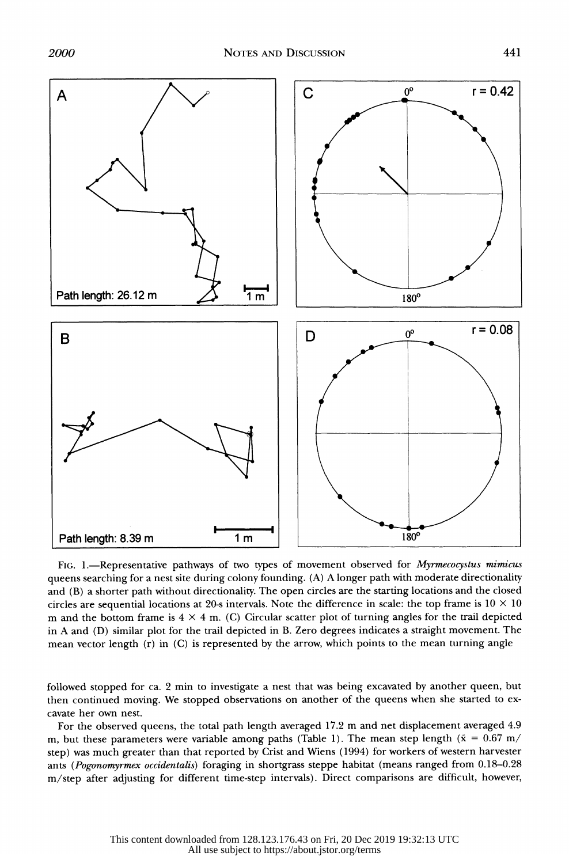

FIG. 1.-Representative pathways of two types of movement observed for Myrmecocystus mimicus queens searching for a nest site during colony founding. (A) A longer path with moderate directionality and (B) a shorter path without directionality. The open circles are the starting locations and the closed circles are sequential locations at 20-s intervals. Note the difference in scale: the top frame is  $10 \times 10$ m and the bottom frame is  $4 \times 4$  m. (C) Circular scatter plot of turning angles for the trail depicted in A and (D) similar plot for the trail depicted in B. Zero degrees indicates a straight movement. The mean vector length (r) in (C) is represented by the arrow, which points to the mean turning angle

 followed stopped for ca. 2 min to investigate a nest that was being excavated by another queen, but then continued moving. We stopped observations on another of the queens when she started to ex cavate her own nest.

 For the observed queens, the total path length averaged 17.2 m and net displacement averaged 4.9 m, but these parameters were variable among paths (Table 1). The mean step length ( $\bar{x} = 0.67$  m/ step) was much greater than that reported by Crist and Wiens (1994) for workers of western harvester ants (Pogonomyrmex occidentalis) foraging in shortgrass steppe habitat (means ranged from 0.18-0.28 m/step after adjusting for different time-step intervals). Direct comparisons are difficult, however,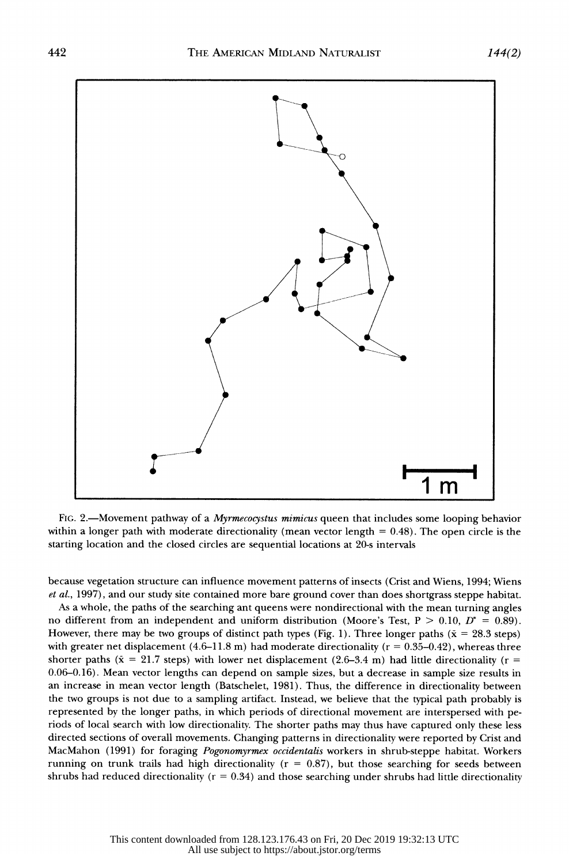

FIG. 2.—Movement pathway of a *Myrmecocystus mimicus* queen that includes some looping behavior within a longer path with moderate directionality (mean vector length  $= 0.48$ ). The open circle is the starting location and the closed circles are sequential locations at 20-s intervals

 because vegetation structure can influence movement patterns of insects (Crist and Wiens, 1994; Wiens et al., 1997), and our study site contained more bare ground cover than does shortgrass steppe habitat.

 As a whole, the paths of the searching ant queens were nondirectional with the mean turning angles no different from an independent and uniform distribution (Moore's Test,  $P > 0.10$ ,  $D^* = 0.89$ ). However, there may be two groups of distinct path types (Fig. 1). Three longer paths ( $\bar{x} = 28.3$  steps) with greater net displacement  $(4.6-11.8 \text{ m})$  had moderate directionality ( $r = 0.35-0.42$ ), whereas three shorter paths ( $\bar{x} = 21.7$  steps) with lower net displacement (2.6–3.4 m) had little directionality ( $r =$  0.06-0.16). Mean vector lengths can depend on sample sizes, but a decrease in sample size results in an increase in mean vector length (Batschelet, 1981). Thus, the difference in directionality between the two groups is not due to a sampling artifact. Instead, we believe that the typical path probably is represented by the longer paths, in which periods of directional movement are interspersed with pe riods of local search with low directionality. The shorter paths may thus have captured only these less directed sections of overall movements. Changing patterns in directionality were reported by Crist and MacMahon (1991) for foraging Pogonomyrmex occidentalis workers in shrub-steppe habitat. Workers running on trunk trails had high directionality ( $r = 0.87$ ), but those searching for seeds between shrubs had reduced directionality ( $r = 0.34$ ) and those searching under shrubs had little directionality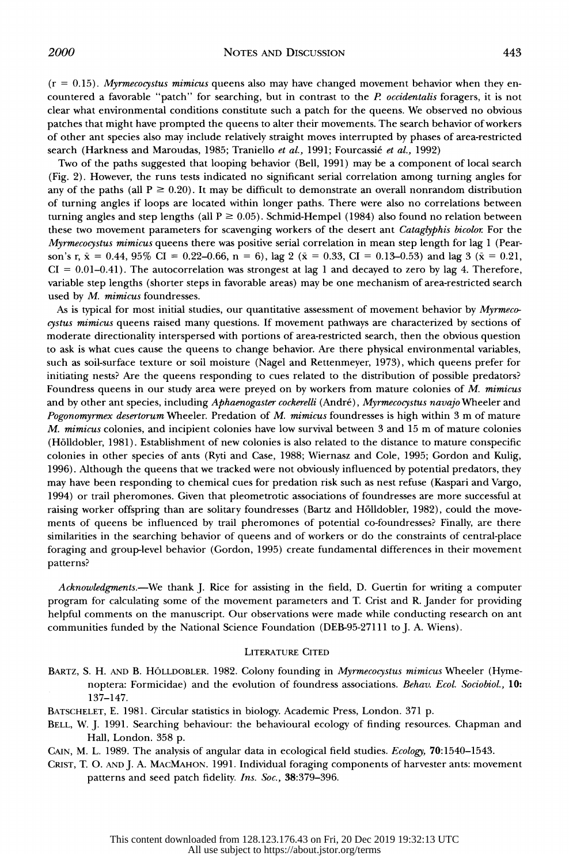$(r = 0.15)$ . Myrmecocystus mimicus queens also may have changed movement behavior when they encountered a favorable "patch" for searching, but in contrast to the  $P$  occidentalis foragers, it is not clear what environmental conditions constitute such a patch for the queens. We observed no obvious patches that might have prompted the queens to alter their movements. The search behavior of workers of other ant species also may include relatively straight moves interrupted by phases of area-restricted search (Harkness and Maroudas, 1985; Traniello et al., 1991; Fourcassié et al., 1992)

 Two of the paths suggested that looping behavior (Bell, 1991) may be a component of local search (Fig. 2). However, the runs tests indicated no significant serial correlation among turning angles for any of the paths (all  $P \ge 0.20$ ). It may be difficult to demonstrate an overall nonrandom distribution of turning angles if loops are located within longer paths. There were also no correlations between turning angles and step lengths (all  $P \ge 0.05$ ). Schmid-Hempel (1984) also found no relation between these two movement parameters for scavenging workers of the desert ant Cataglyphis bicolor. For the Myrmecocystus mimicus queens there was positive serial correlation in mean step length for lag 1 (Pearson's r,  $\bar{x} = 0.44$ , 95% CI = 0.22–0.66, n = 6), lag 2 ( $\bar{x} = 0.33$ , CI = 0.13–0.53) and lag 3 ( $\bar{x} = 0.21$ ,  $CI = 0.01-0.41$ ). The autocorrelation was strongest at lag 1 and decayed to zero by lag 4. Therefore, variable step lengths (shorter steps in favorable areas) may be one mechanism of area-restricted search used by M. mimicus foundresses.

As is typical for most initial studies, our quantitative assessment of movement behavior by Myrmecocystus mimicus queens raised many questions. If movement pathways are characterized by sections of moderate directionality interspersed with portions of area-restricted search, then the obvious question to ask is what cues cause the queens to change behavior. Are there physical environmental variables, such as soil-surface texture or soil moisture (Nagel and Rettenmeyer, 1973), which queens prefer for initiating nests? Are the queens responding to cues related to the distribution of possible predators? Foundress queens in our study area were preyed on by workers from mature colonies of M. mimicus and by other ant species, including Aphaenogaster cockerelli (André), Myrmecocystus navajo Wheeler and Pogonomyrmex desertorum Wheeler. Predation of M. mimicus foundresses is high within 3 m of mature M. mimicus colonies, and incipient colonies have low survival between 3 and 15 m of mature colonies (H6lldobler, 1981). Establishment of new colonies is also related to the distance to mature conspecific colonies in other species of ants (Ryti and Case, 1988; Wiernasz and Cole, 1995; Gordon and Kulig, 1996). Although the queens that we tracked were not obviously influenced by potential predators, they may have been responding to chemical cues for predation risk such as nest refuse (Kaspari and Vargo, 1994) or trail pheromones. Given that pleometrotic associations of foundresses are more successful at raising worker offspring than are solitary foundresses (Bartz and H6lldobler, 1982), could the move ments of queens be influenced by trail pheromones of potential co-foundresses? Finally, are there similarities in the searching behavior of queens and of workers or do the constraints of central-place foraging and group-level behavior (Gordon, 1995) create fundamental differences in their movement patterns?

Acknowledgments.-We thank J. Rice for assisting in the field, D. Guertin for writing a computer program for calculating some of the movement parameters and T. Crist and R. Jander for providing helpful comments on the manuscript. Our observations were made while conducting research on ant communities funded by the National Science Foundation (DEB-95-27111 to J. A. Wiens).

## LITERATURE CITED

- BARTZ, S. H. AND B. HOLLDOBLER. 1982. Colony founding in *Myrmecocystus mimicus* Wheeler (Hyme noptera: Formicidae) and the evolution of foundress associations. Behav. Ecol. Sociobiol., 10: 137-147.
- BATSCHELET, E. 1981. Circular statistics in biology. Academic Press, London. 371 p.
- BELL, W. J. 1991. Searching behaviour: the behavioural ecology of finding resources. Chapman and Hall, London. 358 p.

CAIN, M. L. 1989. The analysis of angular data in ecological field studies. Ecology, 70:1540-1543.

 CRIST, T. 0. ANDJ. A. MACMAHON. 1991. Individual foraging components of harvester ants: movement patterns and seed patch fidelity. Ins. Soc., 38:379-396.